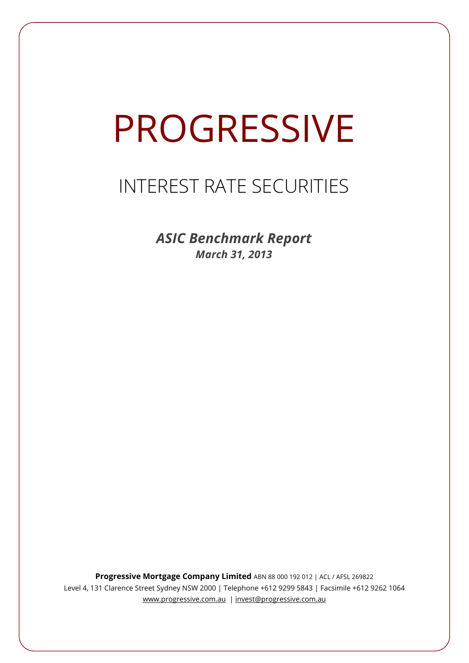# PROGRESSIVE

# INTEREST RATE SECURITIES

*ASIC Benchmark Report March 31, 2013*

**Progressive Mortgage Company Limited** ABN 88 000 192 012 | ACL / AFSL 269822 Level 4, 131 Clarence Street Sydney NSW 2000 | Telephone +612 9299 5843 | Facsimile +612 9262 1064 www.progressive.com.au | invest@progressive.com.au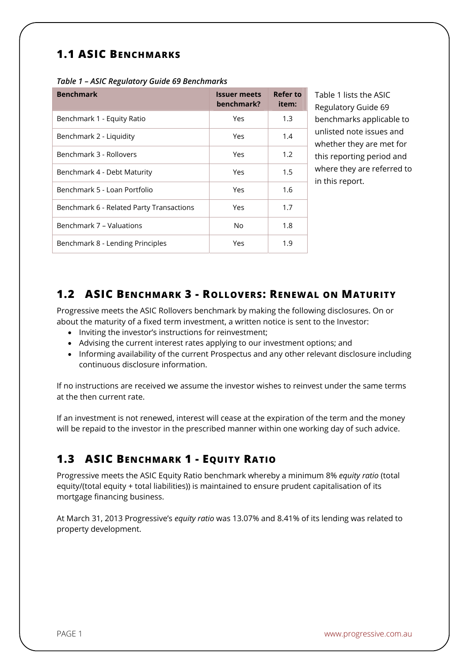## **1.1 ASIC BENCHMARKS**

| <b>Benchmark</b>                         | <b>Issuer meets</b><br>benchmark? | Refer to<br>item: |
|------------------------------------------|-----------------------------------|-------------------|
| Benchmark 1 - Equity Ratio               | Yes                               | 1.3               |
| Benchmark 2 - Liquidity                  | Yes                               | 1.4               |
| Benchmark 3 - Rollovers                  | Yes                               | 1.2               |
| Benchmark 4 - Debt Maturity              | Yes                               | 1.5               |
| Benchmark 5 - Loan Portfolio             | Yes                               | 1.6               |
| Benchmark 6 - Related Party Transactions | Yes                               | 1.7               |
| Benchmark 7 - Valuations                 | No                                | 1.8               |
| Benchmark 8 - Lending Principles         | Yes                               | 1.9               |

Table 1 lists the ASIC Regulatory Guide 69 benchmarks applicable to unlisted note issues and whether they are met for this reporting period and where they are referred to in this report.

#### **1.2 ASIC BENCHMARK 3 - ROLLOVERS: RENEWAL ON MATURITY**

Progressive meets the ASIC Rollovers benchmark by making the following disclosures. On or about the maturity of a fixed term investment, a written notice is sent to the Investor:

- Inviting the investor's instructions for reinvestment;
- Advising the current interest rates applying to our investment options; and
- Informing availability of the current Prospectus and any other relevant disclosure including continuous disclosure information.

If no instructions are received we assume the investor wishes to reinvest under the same terms at the then current rate.

If an investment is not renewed, interest will cease at the expiration of the term and the money will be repaid to the investor in the prescribed manner within one working day of such advice.

## **1.3 ASIC BENCHMARK 1 - EQUITY RATIO**

Progressive meets the ASIC Equity Ratio benchmark whereby a minimum 8% *equity ratio* (total equity/(total equity + total liabilities)) is maintained to ensure prudent capitalisation of its mortgage financing business.

At March 31, 2013 Progressive's *equity ratio* was 13.07% and 8.41% of its lending was related to property development.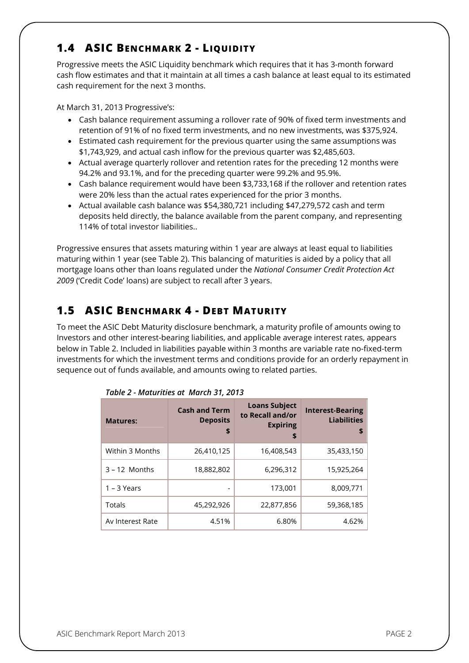#### **1.4 ASIC BENCHMARK 2 - LIQUIDITY**

Progressive meets the ASIC Liquidity benchmark which requires that it has 3-month forward cash flow estimates and that it maintain at all times a cash balance at least equal to its estimated cash requirement for the next 3 months.

At March 31, 2013 Progressive's:

- Cash balance requirement assuming a rollover rate of 90% of fixed term investments and retention of 91% of no fixed term investments, and no new investments, was \$375,924.
- Estimated cash requirement for the previous quarter using the same assumptions was \$1,743,929, and actual cash inflow for the previous quarter was \$2,485,603.
- Actual average quarterly rollover and retention rates for the preceding 12 months were 94.2% and 93.1%, and for the preceding quarter were 99.2% and 95.9%.
- Cash balance requirement would have been \$3,733,168 if the rollover and retention rates were 20% less than the actual rates experienced for the prior 3 months.
- Actual available cash balance was \$54,380,721 including \$47,279,572 cash and term deposits held directly, the balance available from the parent company, and representing 114% of total investor liabilities..

Progressive ensures that assets maturing within 1 year are always at least equal to liabilities maturing within 1 year (see Table 2). This balancing of maturities is aided by a policy that all mortgage loans other than loans regulated under the *National Consumer Credit Protection Act 2009* ('Credit Code' loans) are subject to recall after 3 years.

# **1.5 ASIC BENCHMARK 4 - DEBT MATURITY**

To meet the ASIC Debt Maturity disclosure benchmark, a maturity profile of amounts owing to Investors and other interest-bearing liabilities, and applicable average interest rates, appears below in Table 2. Included in liabilities payable within 3 months are variable rate no-fixed-term investments for which the investment terms and conditions provide for an orderly repayment in sequence out of funds available, and amounts owing to related parties.

| <b>Matures:</b>  | <b>Cash and Term</b><br><b>Deposits</b><br>\$ | <b>Loans Subject</b><br>to Recall and/or<br><b>Expiring</b><br>\$ | <b>Interest-Bearing</b><br><b>Liabilities</b><br>S |
|------------------|-----------------------------------------------|-------------------------------------------------------------------|----------------------------------------------------|
| Within 3 Months  | 26,410,125                                    | 16,408,543                                                        | 35,433,150                                         |
| $3 - 12$ Months  | 18,882,802                                    | 6,296,312                                                         | 15,925,264                                         |
| $1 - 3$ Years    |                                               | 173,001                                                           | 8,009,771                                          |
| Totals           | 45,292,926                                    | 22,877,856                                                        | 59,368,185                                         |
| Av Interest Rate | 4.51%                                         | 6.80%                                                             | 4.62%                                              |

| Table 2 - Maturities at March 31, 2013 |  |  |  |  |
|----------------------------------------|--|--|--|--|
|----------------------------------------|--|--|--|--|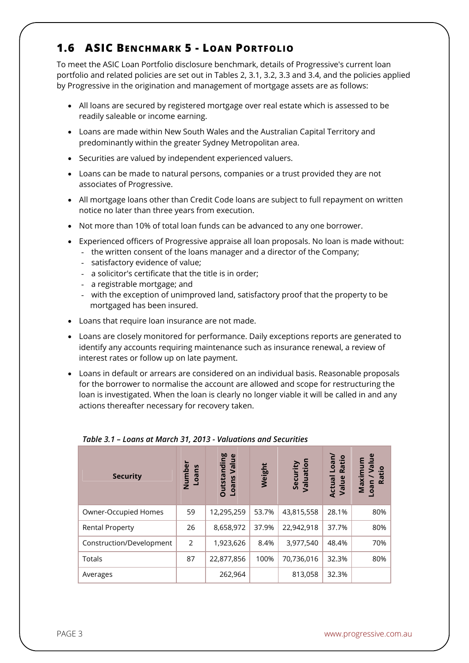#### **1.6 ASIC BENCHMARK 5 - LOAN PORTFOLIO**

To meet the ASIC Loan Portfolio disclosure benchmark, details of Progressive's current loan portfolio and related policies are set out in Tables 2, 3.1, 3.2, 3.3 and 3.4, and the policies applied by Progressive in the origination and management of mortgage assets are as follows:

- All loans are secured by registered mortgage over real estate which is assessed to be readily saleable or income earning.
- Loans are made within New South Wales and the Australian Capital Territory and predominantly within the greater Sydney Metropolitan area.
- Securities are valued by independent experienced valuers.
- Loans can be made to natural persons, companies or a trust provided they are not associates of Progressive.
- All mortgage loans other than Credit Code loans are subject to full repayment on written notice no later than three years from execution.
- Not more than 10% of total loan funds can be advanced to any one borrower.
- Experienced officers of Progressive appraise all loan proposals. No loan is made without:
	- the written consent of the loans manager and a director of the Company;
	- satisfactory evidence of value;
	- a solicitor's certificate that the title is in order;
	- a registrable mortgage; and
	- with the exception of unimproved land, satisfactory proof that the property to be mortgaged has been insured.
- Loans that require loan insurance are not made.
- Loans are closely monitored for performance. Daily exceptions reports are generated to identify any accounts requiring maintenance such as insurance renewal, a review of interest rates or follow up on late payment.
- Loans in default or arrears are considered on an individual basis. Reasonable proposals for the borrower to normalise the account are allowed and scope for restructuring the loan is investigated. When the loan is clearly no longer viable it will be called in and any actions thereafter necessary for recovery taken.

| <b>Security</b>          | Number<br>Loans | <b>Outstanding</b><br>്ധ<br>Valu<br>Loans | Weight | Security<br>Valuation | Loan/<br>Ratio<br>Actual<br>Value | $\mathbf{g}$<br>Maximum<br>∫a<br>Ratio<br>neo- |
|--------------------------|-----------------|-------------------------------------------|--------|-----------------------|-----------------------------------|------------------------------------------------|
| Owner-Occupied Homes     | 59              | 12,295,259                                | 53.7%  | 43,815,558            | 28.1%                             | 80%                                            |
| <b>Rental Property</b>   | 26              | 8,658,972                                 | 37.9%  | 22,942,918            | 37.7%                             | 80%                                            |
| Construction/Development | 2               | 1,923,626                                 | 8.4%   | 3,977,540             | 48.4%                             | 70%                                            |
| <b>Totals</b>            | 87              | 22,877,856                                | 100%   | 70,736,016            | 32.3%                             | 80%                                            |
| Averages                 |                 | 262,964                                   |        | 813,058               | 32.3%                             |                                                |

#### *Table 3.1 – Loans at March 31, 2013 - Valuations and Securities*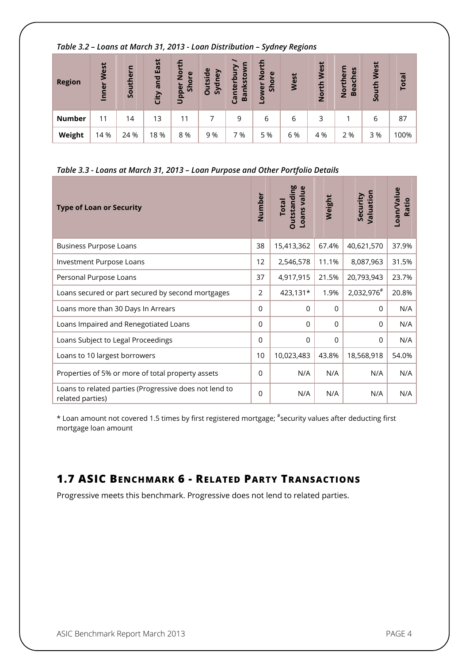| Table 3.2 - Loans at March 31, 2013 - Loan Distribution - Sydney Regions |  |  |
|--------------------------------------------------------------------------|--|--|
|                                                                          |  |  |

| <b>Region</b> | West<br>Inner | Southern | East<br>and<br>City | $\overline{2}$<br>ore<br>$\overline{5}$<br>Upper | utside<br>Sydney<br>Ō | Canterbur<br>nkstov<br>Ba | $\overline{2}$<br>Shore<br>owe | West | West<br>옵<br>$\frac{5}{2}$ | ern<br>es<br>톱<br>North<br>Bea | West<br>South | <b>Total</b> |
|---------------|---------------|----------|---------------------|--------------------------------------------------|-----------------------|---------------------------|--------------------------------|------|----------------------------|--------------------------------|---------------|--------------|
| <b>Number</b> | 11            | 14       | 13                  | 11                                               |                       | 9                         | 6                              | 6    | 3                          |                                | 6             | 87           |
| Weight        | 14 %          | 24 %     | 18 %                | 8 %                                              | 9 %                   | %                         | 5 %                            | 6 %  | 4 %                        | 2 %                            | 3 %           | 100%         |

#### *Table 3.3 - Loans at March 31, 2013 – Loan Purpose and Other Portfolio Details*

| <b>Type of Loan or Security</b>                                            | Number   | <b>Outstanding</b><br>Loans value<br><b>Total</b> | Weight      | Valuation<br>Security | Loan/Value<br>Ratio |
|----------------------------------------------------------------------------|----------|---------------------------------------------------|-------------|-----------------------|---------------------|
| <b>Business Purpose Loans</b>                                              | 38       | 15,413,362                                        | 67.4%       | 40,621,570            | 37.9%               |
| Investment Purpose Loans                                                   | 12       | 2,546,578                                         | 11.1%       | 8,087,963             | 31.5%               |
| Personal Purpose Loans                                                     | 37       | 4,917,915                                         | 21.5%       | 20,793,943            | 23.7%               |
| Loans secured or part secured by second mortgages                          | 2        | 423,131*                                          | 1.9%        | 2,032,976#            | 20.8%               |
| Loans more than 30 Days In Arrears                                         | $\Omega$ | 0                                                 | 0           | 0                     | N/A                 |
| Loans Impaired and Renegotiated Loans                                      | $\Omega$ | $\Omega$                                          | $\Omega$    | $\Omega$              | N/A                 |
| Loans Subject to Legal Proceedings                                         | $\Omega$ | $\Omega$                                          | $\mathbf 0$ | $\mathbf 0$           | N/A                 |
| Loans to 10 largest borrowers                                              | 10       | 10,023,483                                        | 43.8%       | 18,568,918            | 54.0%               |
| Properties of 5% or more of total property assets                          | $\Omega$ | N/A                                               | N/A         | N/A                   | N/A                 |
| Loans to related parties (Progressive does not lend to<br>related parties) | $\Omega$ | N/A                                               | N/A         | N/A                   | N/A                 |

\* Loan amount not covered 1.5 times by first registered mortgage; # security values after deducting first mortgage loan amount

## **1.7 ASIC BENCHMARK 6 - RELATED PARTY TRANSACTIONS**

Progressive meets this benchmark. Progressive does not lend to related parties.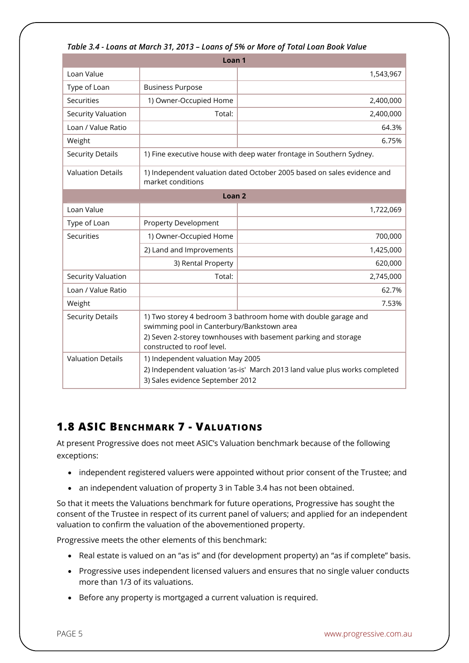| <u> TUDIE 3.4 - LOUIIS UL MULCII 3 I, ZU IS – LOUIIS OF SW OF MOTE OF TOLUI LOUII DOOK VUIUE</u> |                                                                                                                                                                                                              |           |  |  |  |  |
|--------------------------------------------------------------------------------------------------|--------------------------------------------------------------------------------------------------------------------------------------------------------------------------------------------------------------|-----------|--|--|--|--|
|                                                                                                  | Loan <sub>1</sub>                                                                                                                                                                                            |           |  |  |  |  |
| Loan Value                                                                                       |                                                                                                                                                                                                              | 1,543,967 |  |  |  |  |
| Type of Loan                                                                                     | <b>Business Purpose</b>                                                                                                                                                                                      |           |  |  |  |  |
| <b>Securities</b>                                                                                | 1) Owner-Occupied Home                                                                                                                                                                                       | 2,400,000 |  |  |  |  |
| Security Valuation                                                                               | Total:                                                                                                                                                                                                       | 2,400,000 |  |  |  |  |
| Loan / Value Ratio                                                                               |                                                                                                                                                                                                              | 64.3%     |  |  |  |  |
| Weight                                                                                           |                                                                                                                                                                                                              | 6.75%     |  |  |  |  |
| <b>Security Details</b>                                                                          | 1) Fine executive house with deep water frontage in Southern Sydney.                                                                                                                                         |           |  |  |  |  |
| <b>Valuation Details</b>                                                                         | 1) Independent valuation dated October 2005 based on sales evidence and<br>market conditions                                                                                                                 |           |  |  |  |  |
| Loan <sub>2</sub>                                                                                |                                                                                                                                                                                                              |           |  |  |  |  |
| Loan Value                                                                                       |                                                                                                                                                                                                              | 1,722,069 |  |  |  |  |
| Type of Loan                                                                                     | <b>Property Development</b>                                                                                                                                                                                  |           |  |  |  |  |
| Securities                                                                                       | 1) Owner-Occupied Home                                                                                                                                                                                       | 700,000   |  |  |  |  |
|                                                                                                  | 2) Land and Improvements                                                                                                                                                                                     | 1,425,000 |  |  |  |  |
|                                                                                                  | 3) Rental Property                                                                                                                                                                                           | 620,000   |  |  |  |  |
| Security Valuation                                                                               | Total:                                                                                                                                                                                                       | 2,745,000 |  |  |  |  |
| Loan / Value Ratio                                                                               |                                                                                                                                                                                                              | 62.7%     |  |  |  |  |
| Weight                                                                                           |                                                                                                                                                                                                              | 7.53%     |  |  |  |  |
| <b>Security Details</b>                                                                          | 1) Two storey 4 bedroom 3 bathroom home with double garage and<br>swimming pool in Canterbury/Bankstown area<br>2) Seven 2-storey townhouses with basement parking and storage<br>constructed to roof level. |           |  |  |  |  |
| <b>Valuation Details</b>                                                                         | 1) Independent valuation May 2005<br>2) Independent valuation 'as-is' March 2013 land value plus works completed<br>3) Sales evidence September 2012                                                         |           |  |  |  |  |

#### *Table 3.4 - Loans at March 31, 2013 – Loans of 5% or More of Total Loan Book Value*

#### **1.8 ASIC BENCHMARK 7 - VALUATIONS**

At present Progressive does not meet ASIC's Valuation benchmark because of the following exceptions:

- independent registered valuers were appointed without prior consent of the Trustee; and
- an independent valuation of property 3 in Table 3.4 has not been obtained.

So that it meets the Valuations benchmark for future operations, Progressive has sought the consent of the Trustee in respect of its current panel of valuers; and applied for an independent valuation to confirm the valuation of the abovementioned property.

Progressive meets the other elements of this benchmark:

- Real estate is valued on an "as is" and (for development property) an "as if complete" basis.
- Progressive uses independent licensed valuers and ensures that no single valuer conducts more than 1/3 of its valuations.
- Before any property is mortgaged a current valuation is required.